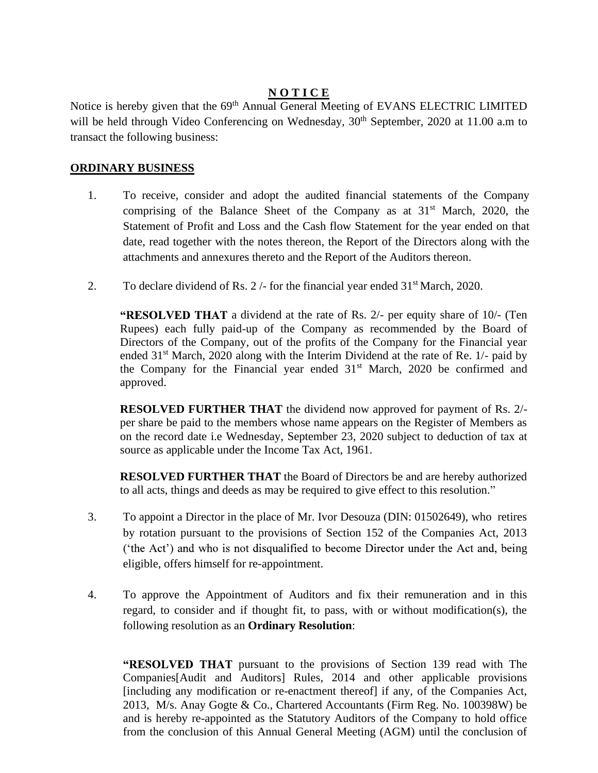### **N O T I C E**

Notice is hereby given that the 69<sup>th</sup> Annual General Meeting of EVANS ELECTRIC LIMITED will be held through Video Conferencing on Wednesday, 30<sup>th</sup> September, 2020 at 11.00 a.m to transact the following business:

#### **ORDINARY BUSINESS**

- 1. To receive, consider and adopt the audited financial statements of the Company comprising of the Balance Sheet of the Company as at  $31<sup>st</sup>$  March, 2020, the Statement of Profit and Loss and the Cash flow Statement for the year ended on that date, read together with the notes thereon, the Report of the Directors along with the attachments and annexures thereto and the Report of the Auditors thereon.
- 2. To declare dividend of Rs.  $2/-$  for the financial year ended  $31<sup>st</sup>$  March, 2020.

**"RESOLVED THAT** a dividend at the rate of Rs.  $2/-$  per equity share of  $10/-$  (Ten Rupees) each fully paid-up of the Company as recommended by the Board of Directors of the Company, out of the profits of the Company for the Financial year ended 31<sup>st</sup> March, 2020 along with the Interim Dividend at the rate of Re. 1/- paid by the Company for the Financial year ended  $31<sup>st</sup>$  March, 2020 be confirmed and approved.

**RESOLVED FURTHER THAT** the dividend now approved for payment of Rs. 2/ per share be paid to the members whose name appears on the Register of Members as on the record date i.e Wednesday, September 23, 2020 subject to deduction of tax at source as applicable under the Income Tax Act, 1961.

**RESOLVED FURTHER THAT** the Board of Directors be and are hereby authorized to all acts, things and deeds as may be required to give effect to this resolution.

- 3. To appoint a Director in the place of Mr. Ivor Desouza (DIN: 01502649), who retires by rotation pursuant to the provisions of Section 152 of the Companies Act, 2013 ('the Act') and who is not disqualified to become Director under the Act and, being eligible, offers himself for re-appointment.
- 4. To approve the Appointment of Auditors and fix their remuneration and in this regard, to consider and if thought fit, to pass, with or without modification(s), the following resolution as an **Ordinary Resolution**:

**"RESOLVED THAT** pursuant to the provisions of Section 139 read with The Companies[Audit and Auditors] Rules, 2014 and other applicable provisions [including any modification or re-enactment thereof] if any, of the Companies Act, 2013, M/s. Anay Gogte & Co., Chartered Accountants (Firm Reg. No. 100398W) be and is hereby re-appointed as the Statutory Auditors of the Company to hold office from the conclusion of this Annual General Meeting (AGM) until the conclusion of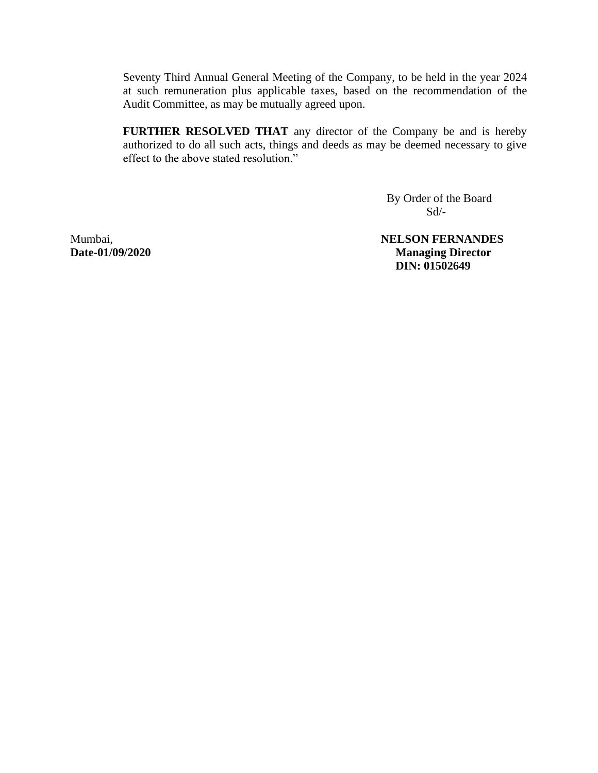Seventy Third Annual General Meeting of the Company, to be held in the year 2024 at such remuneration plus applicable taxes, based on the recommendation of the Audit Committee, as may be mutually agreed upon.

**FURTHER RESOLVED THAT** any director of the Company be and is hereby authorized to do all such acts, things and deeds as may be deemed necessary to give

> By Order of the Board  $Sd$ <sup>-</sup>

Mumbai, **NELSON FERNANDES Date-01/09/2020 Managing Director DIN: 01502649**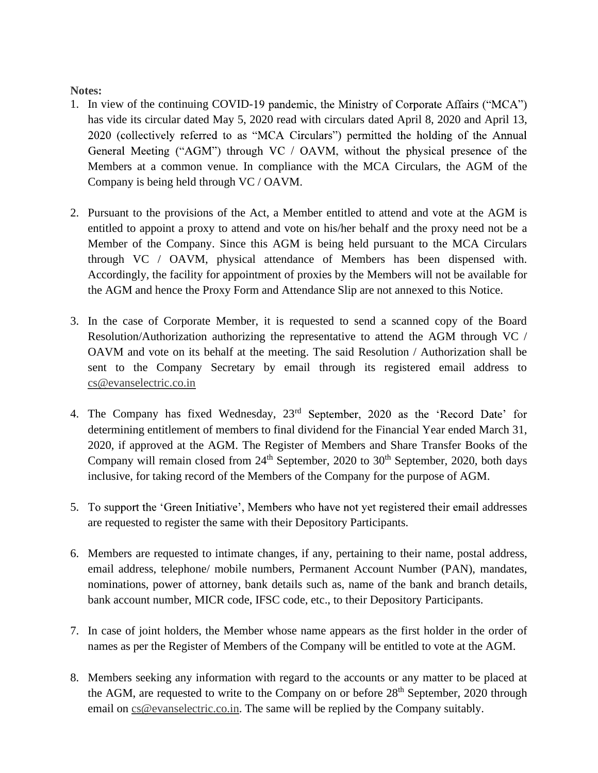#### **Notes:**

- 1. In view of the continuing COVID-19 pandemic, the Ministry of Corporate Affairs ("MCA") has vide its circular dated May 5, 2020 read with circulars dated April 8, 2020 and April 13, 2020 (collectively referred to as "MCA Circulars") permitted the holding of the Annual General Meeting ("AGM") through VC / OAVM, without the physical presence of the Members at a common venue. In compliance with the MCA Circulars, the AGM of the Company is being held through VC / OAVM.
- 2. Pursuant to the provisions of the Act, a Member entitled to attend and vote at the AGM is entitled to appoint a proxy to attend and vote on his/her behalf and the proxy need not be a Member of the Company. Since this AGM is being held pursuant to the MCA Circulars through VC / OAVM, physical attendance of Members has been dispensed with. Accordingly, the facility for appointment of proxies by the Members will not be available for the AGM and hence the Proxy Form and Attendance Slip are not annexed to this Notice.
- 3. In the case of Corporate Member, it is requested to send a scanned copy of the Board Resolution/Authorization authorizing the representative to attend the AGM through VC / OAVM and vote on its behalf at the meeting. The said Resolution / Authorization shall be sent to the Company Secretary by email through its registered email address to [cs@evanselectric.co.in](mailto:cs@evanselectric.co.in)
- 4. The Company has fixed Wednesday, 23<sup>rd</sup> September, 2020 as the 'Record Date' for determining entitlement of members to final dividend for the Financial Year ended March 31, 2020, if approved at the AGM. The Register of Members and Share Transfer Books of the Company will remain closed from  $24<sup>th</sup>$  September, 2020 to  $30<sup>th</sup>$  September, 2020, both days inclusive, for taking record of the Members of the Company for the purpose of AGM.
- 5. To support the 'Green Initiative', Members who have not yet registered their email addresses are requested to register the same with their Depository Participants.
- 6. Members are requested to intimate changes, if any, pertaining to their name, postal address, email address, telephone/ mobile numbers, Permanent Account Number (PAN), mandates, nominations, power of attorney, bank details such as, name of the bank and branch details, bank account number, MICR code, IFSC code, etc., to their Depository Participants.
- 7. In case of joint holders, the Member whose name appears as the first holder in the order of names as per the Register of Members of the Company will be entitled to vote at the AGM.
- 8. Members seeking any information with regard to the accounts or any matter to be placed at the AGM, are requested to write to the Company on or before 28<sup>th</sup> September, 2020 through email on [cs@evanselectric.co.in.](mailto:cs@evanselectric.co.in) The same will be replied by the Company suitably.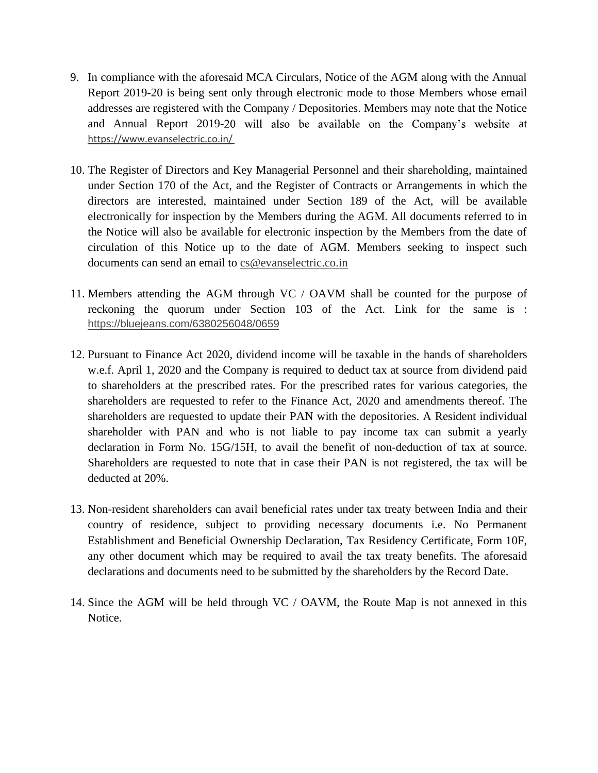- 9. In compliance with the aforesaid MCA Circulars, Notice of the AGM along with the Annual Report 2019-20 is being sent only through electronic mode to those Members whose email addresses are registered with the Company / Depositories. Members may note that the Notice and Annual Report 2019-20 will also be available on the Company's website at <https://www.evanselectric.co.in/>
- 10. The Register of Directors and Key Managerial Personnel and their shareholding, maintained under Section 170 of the Act, and the Register of Contracts or Arrangements in which the directors are interested, maintained under Section 189 of the Act, will be available electronically for inspection by the Members during the AGM. All documents referred to in the Notice will also be available for electronic inspection by the Members from the date of circulation of this Notice up to the date of AGM. Members seeking to inspect such documents can send an email to [cs@evanselectric.co.in](mailto:cs@evanselectric.co.in)
- 11. Members attending the AGM through VC / OAVM shall be counted for the purpose of reckoning the quorum under Section 103 of the Act. Link for the same is : <https://bluejeans.com/6380256048/0659>
- 12. Pursuant to Finance Act 2020, dividend income will be taxable in the hands of shareholders w.e.f. April 1, 2020 and the Company is required to deduct tax at source from dividend paid to shareholders at the prescribed rates. For the prescribed rates for various categories, the shareholders are requested to refer to the Finance Act, 2020 and amendments thereof. The shareholders are requested to update their PAN with the depositories. A Resident individual shareholder with PAN and who is not liable to pay income tax can submit a yearly declaration in Form No. 15G/15H, to avail the benefit of non-deduction of tax at source. Shareholders are requested to note that in case their PAN is not registered, the tax will be deducted at 20%.
- 13. Non-resident shareholders can avail beneficial rates under tax treaty between India and their country of residence, subject to providing necessary documents i.e. No Permanent Establishment and Beneficial Ownership Declaration, Tax Residency Certificate, Form 10F, any other document which may be required to avail the tax treaty benefits. The aforesaid declarations and documents need to be submitted by the shareholders by the Record Date.
- 14. Since the AGM will be held through VC / OAVM, the Route Map is not annexed in this Notice.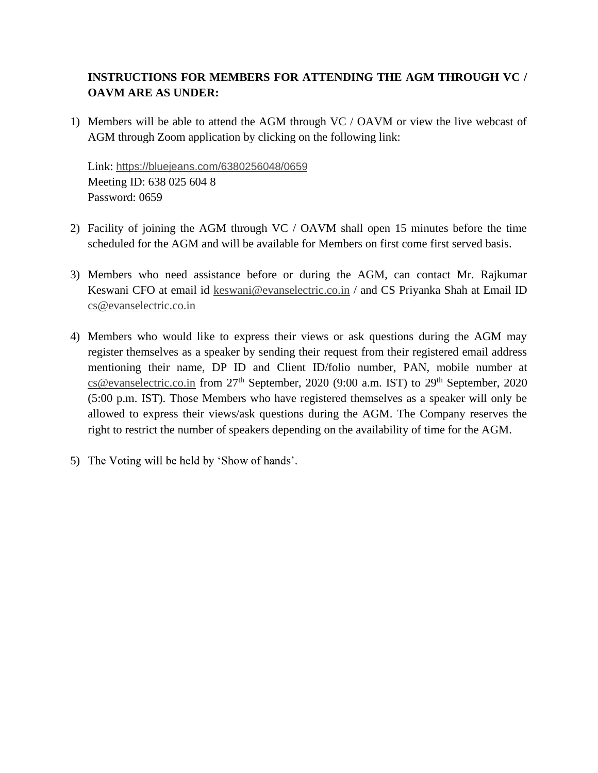## **INSTRUCTIONS FOR MEMBERS FOR ATTENDING THE AGM THROUGH VC / OAVM ARE AS UNDER:**

1) Members will be able to attend the AGM through VC / OAVM or view the live webcast of AGM through Zoom application by clicking on the following link:

Link: <https://bluejeans.com/6380256048/0659> Meeting ID: 638 025 604 8 Password: 0659

- 2) Facility of joining the AGM through VC / OAVM shall open 15 minutes before the time scheduled for the AGM and will be available for Members on first come first served basis.
- 3) Members who need assistance before or during the AGM, can contact Mr. Rajkumar Keswani CFO at email id [keswani@evanselectric.co.in](mailto:keswani@evanselectric.co.in) / and CS Priyanka Shah at Email ID [cs@evanselectric.co.in](mailto:cs@evanselectric.co.in)
- 4) Members who would like to express their views or ask questions during the AGM may register themselves as a speaker by sending their request from their registered email address mentioning their name, DP ID and Client ID/folio number, PAN, mobile number at [cs@evanselectric.co.in](mailto:cs@evanselectric.co.in) from 27<sup>th</sup> September, 2020 (9:00 a.m. IST) to 29<sup>th</sup> September, 2020 (5:00 p.m. IST). Those Members who have registered themselves as a speaker will only be allowed to express their views/ask questions during the AGM. The Company reserves the right to restrict the number of speakers depending on the availability of time for the AGM.
- 5) The Voting will be held by 'Show of hands'.